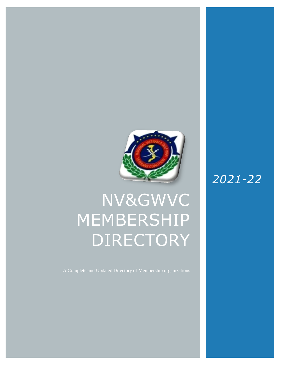

# NV&GWVC MEMBERSHIP DIRECTORY

## *2021-22*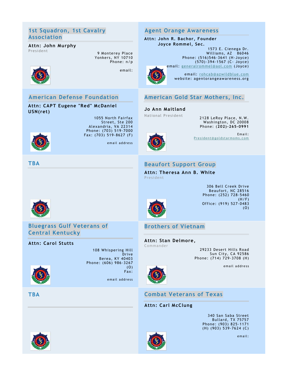#### **1st Squadron, 1st Cavalry Association**

**Attn: CAPT Eugene "Red" McDaniel** 

**American Defense Foundation**

## **Attn: John Murphy**

President 9 Monterey Place Yonkers, NY 10710 Phone: n/p

> 1055 North Fairfax Street, Ste 200 Alexandria, VA 22314 Phone: (703) 519-7000 Fax: (703) 519- 8627 (F)

> > em ail addre ss



**USN(ret)**

email:

#### **Agent Orange Awareness**

**Attn: John R. Bachor, Founder Joyce Rommel, Sec.**

> 1573 E. Cienega Dr. Williams, AZ 86046 Phone: (516)546- 3641 (H- Joyce) (570)-394-1567 (C- Joyce) email: [generalrommel@aol.com](mailto:generalrommel@aol.com) (Joyce)



email: [rohcab@azwildblue.com](mailto:rohcab@azwildblue.com) website: agentorangeawareness.org



#### **Jo Ann Maitland**

National President 2128 LeRoy Place, N.W. Washington, DC 20008 Phone: (**202)-265-0991**



Email: President@goldstarmoms.com



## **Beaufort Support Group**

**Attn: Theresa Ann B. White** President



**Bluegrass Gulf Veterans of Central Kentucky**

#### **Attn: Carol Stutts**



Drive Berea, KY 40403 Phone: (606) 986-3267 (O) Fax: em ail addre ss

108 Whispering Hill

306 Bell Creek Drive Beaufort, NC 28516 Phone: (252) 728-5460  $(H/F)$ Office: (919) 527-0483 (O)

## **Brothers of Vietnam**

**Attn: Stan Delmore,** Commander

29233 Desert Hills Road Sun City, CA 92586 Phone: (714) 729-3708 (H)

em ail addre ss



## **TBA Combat Veterans of Texas**

#### **Attn: Carl McClung**

340 San Saba Street Bullard, TX 75757 Phone: (903) 825-1171 (H) (903) 539-7624 (C)





em ail :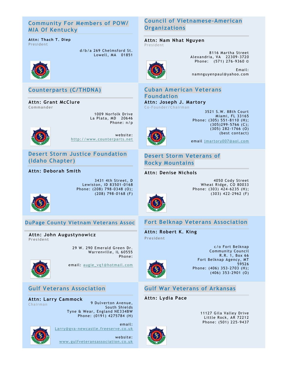#### **Community For Members of POW/ MIA Of Kentucky**

#### **Attn: Thach T. Diep** President

d/b/a 269 Chelmsford St. Lowell, MA 01851



## **Counterparts (C/THDNA)**

**Attn: Grant McClure Commander**

> 1009 Norfolk Drive La Plata, MD 20646 Phone: n/p



website: [http://www.counterparts.net](http://www.counterparts.net/)

**Desert Storm Justice Foundation (Idaho Chapter)**

**Attn: Deborah Smith** 



Lewiston, ID 83501 -0168 Phone: (208) 798-0348 (O); (208) 798-0168 (F)

3431 4th Street, D

**DuPage County Vietnam Veterans Assoc**

**Attn: John Augustynowicz President**

> 29 W. 290 Emerald Green Dr. Warrenville, IL 60555 Phone:



email: [augie\\_vq1@hotmail.com](mailto:augie_vq1@hotmail.com)

#### **Gulf Veterans Association**

**Attn: Larry Cammock** Chairman

9 Dulverton Avenue, South Shields Tyne & Wear, England NE334BW Phone: (0191) 4275784 (H)

email:

[Larry@gva-newcastle.freeserve.co.uk](mailto:Larry@gva-newcastle.freeserve.co.uk) website: [www.gulfveteransassociation.co.uk](http://www.gulfveteransassociation.co.uk/)

## **Council of Vietnamese-American Organizations**

**Attn: Nam Nhat Nguyen** President



8116 Martha Street Alexandria, VA 22309 -3720 Phone: (571) 276 -9360 ©

Email: namnguyenpaul@yahoo.com

## **Cuban American Veterans**

**Foundation Attn: Joseph J. Martory** Co-Founder/Chairman

3521 S.W. 88th Court Miami, FL 33165 Phone: (305) 551 -8110 (H); (305)299- 5766 (C); (305) 282-1766 (O) (best contact)



email [jmartory007@aol.com](mailto:jmartory007@aol.com)

## **Desert Storm Veterans of Rocky Mountains**

**Attn: Denise Nichols**

4050 Cody Street Wheat Ridge, CO 80033 Phone: (303) 424-6235 (H); (303) 422-2962 (F)



## **Fort Belknap Veterans Association**

**Attn: Robert K. King President**



c/o Fort Belknap Community Council R.R. 1, Box 66 Fort Belknap Agency, MT 59526 Phone: (406) 353-2703 (H); (406) 353-2901 (O)

## **Gulf War Veterans of Arkansas**

#### **Attn: Lydia Pace**

11127 Gila Valley Drive Little Rock, AR 72212 Phone: (501) 225-9437

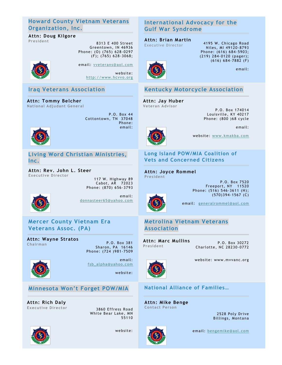## **Howard County Vietnam Veterans Organization, Inc.**

## **Attn: Doug Kilgore**

**Pres ident** 8313 E 400 Street Greentown, IN 46936 Phone: (O) (765) 628-0297 (F); (765) 628-3068;



email: [vveterans@aol.com](mailto:vveterans@aol.com) website: [http://www.hcvvo.org](http://www.hcvvo.org/)

## **Iraq Veterans Association**

**Attn: Tommy Belcher National Adjudant General**

> P.O. Box 44 Cottontown, TN 37048 Phone: email:



**Living Word Christian Ministries, Inc.**

**Attn: Rev. John L. Steer Executive Director**

117 W. Highway 89 Cabot, AR 72023 Phone: (870) 656 -3793



email: [donnasteer65@yahoo.com](mailto:donnasteer65@yahoo.com)

**Mercer County Vietnam Era Veterans Assoc. (PA)**

**Attn: Wayne Stratos Chairman** P.O. Box 381

Sharon, PA 16146 Phone: (724 )981-7509



email: [fsb\\_alpha@yahoo.com](mailto:fsb_alpha@yahoo.com)

website:

#### **Minnesota Won't Forget POW/MIA**

**Attn: Rich Daly Executive Director** 3860 Effress Road

White Bear Lake, MN 55110



website:

#### **International Advocacy for the Gulf War Syndrome**

#### **Attn: Brian Martin**

Executive Director 4195 W. Chicago Road Niles, MI 49120 -8793 Phone: (616) 684 -5903; (219) 284-0120 (pager); (616) 684-7882 (F)



## **Kentucky Motorcycle Association**

#### **Attn: Jay Huber Veteran Advisor**

P.O. Box 174014 Louisville, KY 40217 Phone: (800 )68 cycle

email:

email:



website: [www.kmakba.com](http://www.kmakba.com/)

#### **Long Island POW/MIA Coalition of Vets and Concerned Citizens**

**Attn: Joyce Rommel President**

> P.O. Box 7520 Freeport, NY 11520 Phone: (516) 546-3611 (H);  $(570)394 - 1567$  (C)



email: [generalrommel@aol.com](mailto:generalrommel@aol.com)

## **Metrolina Vietnam Veterans Association**

**Attn: Marc Mullins President**

P.O. Box 30272 Charlotte, NC 28230 -0772



website: www.mvvanc.org

## **National Alliance of Families…**

**Attn: Mike Benge Contact Person**

> 2528 Poly Drive Billings, Montana



email: [bengemike@aol.com](mailto:bengemike@aol.com)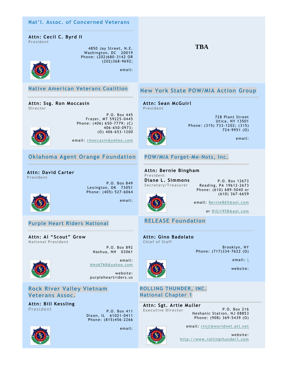

Dixon, IL 61021-0411 Phone: (815)456-2266

email:





email: [rtnjl@worldnet.att.net](mailto:rtnjl@worldnet.att.net)

Phone: (908) 369-5439 (O)

website: [http://www.rollingthunder1.com](http://www.rollingthunder1.com/)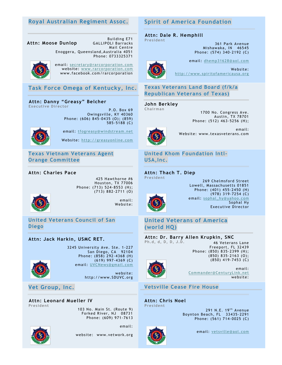#### **Royal Australian Regiment Assoc.**

#### **Attn: Moose Dunlop**

GALLIPOLI Barracks Mail Centre Enoggera, Queensland,Australia 4051 Phone: 0733325371

Building E71



email: [secretary@rarcorporation.com](mailto:secretary@rarcorporation.com) website: [www.rarcorporation.com](http://www.rarcorporation.com/) www.facebook.com/rarcorporation

**Task Force Omega of Kentucky, Inc.**

#### **Attn: Danny "Greasy" Belcher Executive Director**

P.O. Box 69 Owingsville, KY 40360 Phone: (606) 845-0435 (O); (859) 585-5188 (C)



email: [tfogreasy@windstream.net](mailto:tfogreasy@windstream.net)

Website: [http://greasyonline.com](http://greasyonline.com/)

#### **Texas Vietnam Veterans Agent Orange Committee**

#### **Attn: Charles Pace**

425 Hawthorne #6 Houston, TX 77006 Phone: (713) 524-8553 (H); (713) 882-2711 (O)



email: Website:

**United Veterans Council of San Diego** 

#### **Attn: Jack Harkin, USMC RET.**



3245 University Ave. Ste. 1-227 San Diego, CA 92104 Phone: (858) 292 -4368 (H) (619) 997-4369 (C) email: [UVCNews@gmail.com](mailto:UVCNews@gmail.com)

> website: http://www.SDUVC.org

**Vet Group, Inc.**

#### **Attn: Leonard Mueller IV President**

103 No. Main St. (Route 9) Forked River, NJ 08731 Phone: (609) 971-7613



website: www.vetwork.org

email:

#### **Spirit of America Foundation**

#### **Attn: Dale R. Hemphill President**

361 Park Avenue Mishawaka, IN 46545 Phone: (574) 340-2192 (C)



email: [dhemp31628@aol.com](mailto:dhemp31628@aol.com)

Website: [http://www.spiritofamericausa.org](http://www.spiritofamericausa.org/)

#### **Texas Veterans Land Board (f/k/a Republican Veterans of Texas)**

#### **John Berkley**

**Chairman**

1700 No. Congress Ave. Austin, TX 78701 Phone: (512) 463-5256 (H);



email: Website: www.texasveterans.com

## **United Khom Foundation Intl-USA,Inc.**

#### **Attn: Thach T. Diep**

**President**



269 Chelmsford Street Lowell, Massachusetts 01851 Phone: (401) 455-2450 (H) (978) 319-7254 (C) email: [sophal\\_hy@yahoo.com](mailto:sophal_hy@yahoo.com) Sophal Hy Executive Director

#### **United Veterans of America (world HQ)**

**Attn: Dr. Barry Allen Krupkin, SNC Ph.d, d, D, D, J.D.** 46 Veterans Lane

Freeport, FL 32439 Phone: (850) 835-2399 (H); (850) 835-2163 (O); (850) 419-7453 (C)



email: [Commander@CenturyLink.net](mailto:Commander@CenturyLink.net) website:

**Vetsville Cease Fire House** OFAMERICA.com

#### **Attn: Chris Noel President**

291 N.E.  $19<sup>th</sup>$  Avenue Boynton Beach, FL 33435 -2291 Phone: (561) 714-0025 (C)



email: [vetsville@aol.com](mailto:vetsville@aol.com)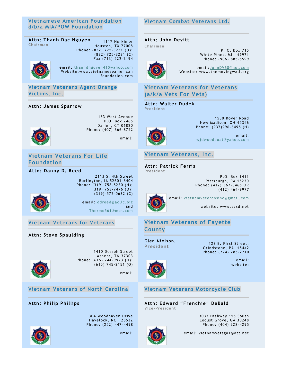#### **Vietnamese American Foundation d/b/a MIA/POW Foundation**

**Attn: Thanh Dac Nguyen Chairman**

1117 Herkimer Houston, TX 77008 Phone: (832) 725-3231 (O); (832) 725-3231 (C) Fax (713) 522-2194



email: [thanhdnguyen41@yahoo.com](mailto:thanhdnguyen41@yahoo.com) Website:www.vietnameseamerican foundation.com

#### **Vietnam Veterans Agent Orange Victims, Inc.**

#### **Attn: James Sparrow**



163 West Avenue P.O. Box 2465 Darien, CT 06820 Phone: (407) 366-8752

email:

#### **Vietnam Veterans For Life Foundation**

**Attn: Danny D. Reed**

2113 S. 4th Street Burlington, IA 52601 -6404 Phone: (319) 758-5230 (H); (319) 753-7476 (O);  $(319) - 572 - 0632$  (C)



email: [ddreed@aollc.biz](mailto:ddreed@aollc.biz) and [Thermo561@msn.com](mailto:Thermo561@msn.com)

#### **Vietnam Veterans for Veterans**

**Attn: Steve Spaulding**



1410 Dossoh Street Athens, TN 37303 Phone: (615) 744-9923 (H);  $(615)$  745-2151  $(0)$ 

email:

**Vietnam Veterans of North Carolina**

#### **Attn: Philip Phillips**

304 Woodhaven Drive Havelock, NC 28532 Phone: (252) 447-4498



email:

#### **Vietnam Combat Veterans Ltd.**

#### **Attn: John Devitt**

**Chairman**



P. O. Box 715 White Pines, MI 49971 Phone: (906) 885-5599

email: [JohnDV68@aol.com](mailto:JohnDV68@aol.com) Website: www.themovingwall.org

#### **Vietnam Veterans for Veterans (a/k/a Vets For Vets)**

**Attn: Walter Dudek President**



1530 Royer Road New Madison, OH 45346 Phone: (937)996- 6495 (H)

email: [wjdwoodboat@yahoo.com](mailto:wjdwoodboat@yahoo.com)

## **Vietnam Veterans, Inc.**

**Attn: Patrick Ferris President**

> P.O. Box 1411 Pittsburgh, PA 15230 Phone: (412) 367 -8465 OR (412) 464-9977



email: [vietnamveteransinc@gmail.com](mailto:vietnamveteransinc@gmail.com)

website: www.vvsd.net

#### **Vietnam Veterans of Fayette County**

#### **Glen Nielson,**

**President** 123 E. First Street, Grindstone, PA 15442 Phone: (724) 785-2710

> email: website:



#### **Vietnam Veterans Motorcycle Club**

**Attn: Edward "Frenchie" DeBald Vice-President**

> 3033 Highway 155 South Locust Grove, GA 30248 Phone: (404) 228-4295



email: vietnamvetsga1@att.net